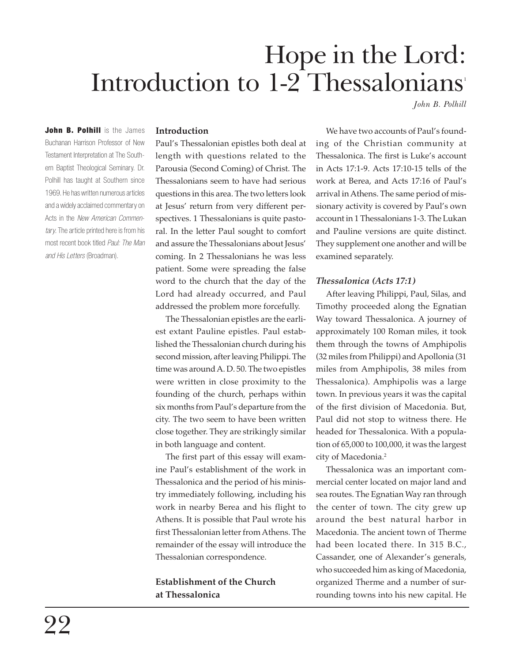# Hope in the Lord: Introduction to 1-2 Thessalonians<sup>1</sup>

*John B. Polhill*

John B. Polhill is the James Buchanan Harrison Professor of New Testament Interpretation at The Southern Baptist Theological Seminary. Dr. Polhill has taught at Southern since 1969. He has written numerous articles and a widely acclaimed commentary on Acts in the *New American Commentary*. The article printed here is from his most recent book titled *Paul: The Man and His Letters* (Broadman).

#### **Introduction**

Paul's Thessalonian epistles both deal at length with questions related to the Parousia (Second Coming) of Christ. The Thessalonians seem to have had serious questions in this area. The two letters look at Jesus' return from very different perspectives. 1 Thessalonians is quite pastoral. In the letter Paul sought to comfort and assure the Thessalonians about Jesus' coming. In 2 Thessalonians he was less patient. Some were spreading the false word to the church that the day of the Lord had already occurred, and Paul addressed the problem more forcefully.

The Thessalonian epistles are the earliest extant Pauline epistles. Paul established the Thessalonian church during his second mission, after leaving Philippi. The time was around A. D. 50. The two epistles were written in close proximity to the founding of the church, perhaps within six months from Paul's departure from the city. The two seem to have been written close together. They are strikingly similar in both language and content.

The first part of this essay will examine Paul's establishment of the work in Thessalonica and the period of his ministry immediately following, including his work in nearby Berea and his flight to Athens. It is possible that Paul wrote his first Thessalonian letter from Athens. The remainder of the essay will introduce the Thessalonian correspondence.

**Establishment of the Church at Thessalonica**

We have two accounts of Paul's founding of the Christian community at Thessalonica. The first is Luke's account in Acts 17:1-9. Acts 17:10-15 tells of the work at Berea, and Acts 17:16 of Paul's arrival in Athens. The same period of missionary activity is covered by Paul's own account in 1 Thessalonians 1-3. The Lukan and Pauline versions are quite distinct. They supplement one another and will be examined separately.

#### *Thessalonica (Acts 17:1)*

After leaving Philippi, Paul, Silas, and Timothy proceeded along the Egnatian Way toward Thessalonica. A journey of approximately 100 Roman miles, it took them through the towns of Amphipolis (32 miles from Philippi) and Apollonia (31 miles from Amphipolis, 38 miles from Thessalonica). Amphipolis was a large town. In previous years it was the capital of the first division of Macedonia. But, Paul did not stop to witness there. He headed for Thessalonica. With a population of 65,000 to 100,000, it was the largest city of Macedonia.2

Thessalonica was an important commercial center located on major land and sea routes. The Egnatian Way ran through the center of town. The city grew up around the best natural harbor in Macedonia. The ancient town of Therme had been located there. In 315 B.C., Cassander, one of Alexander's generals, who succeeded him as king of Macedonia, organized Therme and a number of surrounding towns into his new capital. He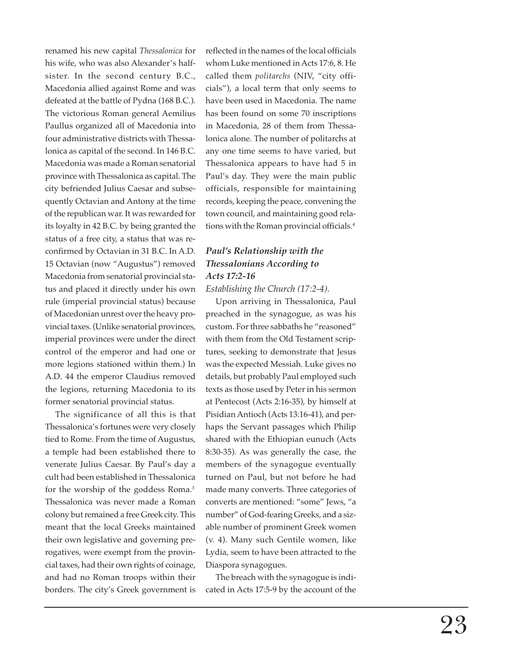renamed his new capital *Thessalonica* for his wife, who was also Alexander's halfsister. In the second century B.C., Macedonia allied against Rome and was defeated at the battle of Pydna (168 B.C.). The victorious Roman general Aemilius Paullus organized all of Macedonia into four administrative districts with Thessalonica as capital of the second. In 146 B.C. Macedonia was made a Roman senatorial province with Thessalonica as capital. The city befriended Julius Caesar and subsequently Octavian and Antony at the time of the republican war. It was rewarded for its loyalty in 42 B.C. by being granted the status of a free city, a status that was reconfirmed by Octavian in 31 B.C. In A.D. 15 Octavian (now "Augustus") removed Macedonia from senatorial provincial status and placed it directly under his own rule (imperial provincial status) because of Macedonian unrest over the heavy provincial taxes. (Unlike senatorial provinces, imperial provinces were under the direct control of the emperor and had one or more legions stationed within them.) In A.D. 44 the emperor Claudius removed the legions, returning Macedonia to its former senatorial provincial status.

The significance of all this is that Thessalonica's fortunes were very closely tied to Rome. From the time of Augustus, a temple had been established there to venerate Julius Caesar. By Paul's day a cult had been established in Thessalonica for the worship of the goddess Roma.3 Thessalonica was never made a Roman colony but remained a free Greek city. This meant that the local Greeks maintained their own legislative and governing prerogatives, were exempt from the provincial taxes, had their own rights of coinage, and had no Roman troops within their borders. The city's Greek government is

reflected in the names of the local officials whom Luke mentioned in Acts 17:6, 8. He called them *politarchs* (NIV, "city officials"), a local term that only seems to have been used in Macedonia. The name has been found on some 70 inscriptions in Macedonia, 28 of them from Thessalonica alone. The number of politarchs at any one time seems to have varied, but Thessalonica appears to have had 5 in Paul's day. They were the main public officials, responsible for maintaining records, keeping the peace, convening the town council, and maintaining good relations with the Roman provincial officials.4

# *Paul's Relationship with the Thessalonians According to Acts 17:2-16*

*Establishing the Church (17:2-4).*

Upon arriving in Thessalonica, Paul preached in the synagogue, as was his custom. For three sabbaths he "reasoned" with them from the Old Testament scriptures, seeking to demonstrate that Jesus was the expected Messiah. Luke gives no details, but probably Paul employed such texts as those used by Peter in his sermon at Pentecost (Acts 2:16-35), by himself at Pisidian Antioch (Acts 13:16-41), and perhaps the Servant passages which Philip shared with the Ethiopian eunuch (Acts 8:30-35). As was generally the case, the members of the synagogue eventually turned on Paul, but not before he had made many converts. Three categories of converts are mentioned: "some" Jews, "a number" of God-fearing Greeks, and a sizable number of prominent Greek women (v. 4). Many such Gentile women, like Lydia, seem to have been attracted to the Diaspora synagogues.

The breach with the synagogue is indicated in Acts 17:5-9 by the account of the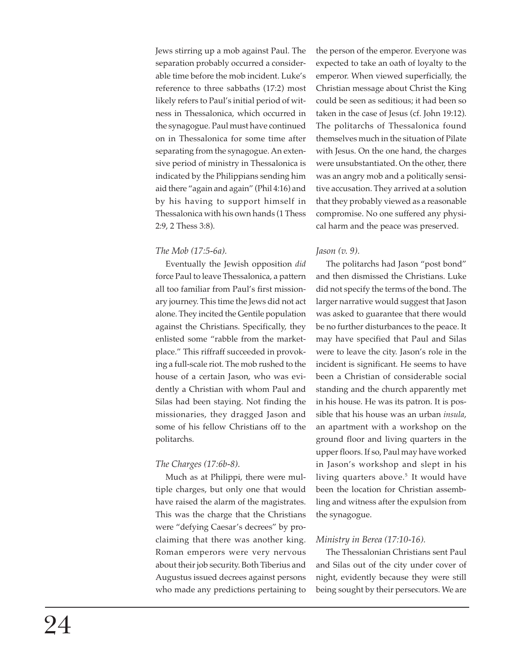Jews stirring up a mob against Paul. The separation probably occurred a considerable time before the mob incident. Luke's reference to three sabbaths (17:2) most likely refers to Paul's initial period of witness in Thessalonica, which occurred in the synagogue. Paul must have continued on in Thessalonica for some time after separating from the synagogue. An extensive period of ministry in Thessalonica is indicated by the Philippians sending him aid there "again and again" (Phil 4:16) and by his having to support himself in Thessalonica with his own hands (1 Thess 2:9, 2 Thess 3:8).

## *The Mob (17:5-6a).*

Eventually the Jewish opposition *did* force Paul to leave Thessalonica, a pattern all too familiar from Paul's first missionary journey. This time the Jews did not act alone. They incited the Gentile population against the Christians. Specifically, they enlisted some "rabble from the marketplace." This riffraff succeeded in provoking a full-scale riot. The mob rushed to the house of a certain Jason, who was evidently a Christian with whom Paul and Silas had been staying. Not finding the missionaries, they dragged Jason and some of his fellow Christians off to the politarchs.

## *The Charges (17:6b-8).*

Much as at Philippi, there were multiple charges, but only one that would have raised the alarm of the magistrates. This was the charge that the Christians were "defying Caesar's decrees" by proclaiming that there was another king. Roman emperors were very nervous about their job security. Both Tiberius and Augustus issued decrees against persons who made any predictions pertaining to the person of the emperor. Everyone was expected to take an oath of loyalty to the emperor. When viewed superficially, the Christian message about Christ the King could be seen as seditious; it had been so taken in the case of Jesus (cf. John 19:12). The politarchs of Thessalonica found themselves much in the situation of Pilate with Jesus. On the one hand, the charges were unsubstantiated. On the other, there was an angry mob and a politically sensitive accusation. They arrived at a solution that they probably viewed as a reasonable compromise. No one suffered any physical harm and the peace was preserved.

## *Jason (v. 9).*

The politarchs had Jason "post bond" and then dismissed the Christians. Luke did not specify the terms of the bond. The larger narrative would suggest that Jason was asked to guarantee that there would be no further disturbances to the peace. It may have specified that Paul and Silas were to leave the city. Jason's role in the incident is significant. He seems to have been a Christian of considerable social standing and the church apparently met in his house. He was its patron. It is possible that his house was an urban *insula*, an apartment with a workshop on the ground floor and living quarters in the upper floors. If so, Paul may have worked in Jason's workshop and slept in his living quarters above.<sup>5</sup> It would have been the location for Christian assembling and witness after the expulsion from the synagogue.

## *Ministry in Berea (17:10-16).*

The Thessalonian Christians sent Paul and Silas out of the city under cover of night, evidently because they were still being sought by their persecutors. We are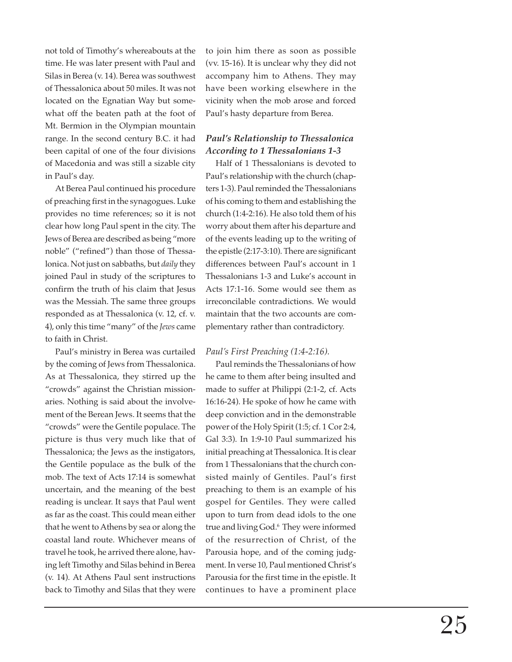not told of Timothy's whereabouts at the time. He was later present with Paul and Silas in Berea (v. 14). Berea was southwest of Thessalonica about 50 miles. It was not located on the Egnatian Way but somewhat off the beaten path at the foot of Mt. Bermion in the Olympian mountain range. In the second century B.C. it had been capital of one of the four divisions of Macedonia and was still a sizable city in Paul's day.

At Berea Paul continued his procedure of preaching first in the synagogues. Luke provides no time references; so it is not clear how long Paul spent in the city. The Jews of Berea are described as being "more noble" ("refined") than those of Thessalonica. Not just on sabbaths, but *daily* they joined Paul in study of the scriptures to confirm the truth of his claim that Jesus was the Messiah. The same three groups responded as at Thessalonica (v. 12, cf. v. 4), only this time "many" of the *Jews* came to faith in Christ.

Paul's ministry in Berea was curtailed by the coming of Jews from Thessalonica. As at Thessalonica, they stirred up the "crowds" against the Christian missionaries. Nothing is said about the involvement of the Berean Jews. It seems that the "crowds" were the Gentile populace. The picture is thus very much like that of Thessalonica; the Jews as the instigators, the Gentile populace as the bulk of the mob. The text of Acts 17:14 is somewhat uncertain, and the meaning of the best reading is unclear. It says that Paul went as far as the coast. This could mean either that he went to Athens by sea or along the coastal land route. Whichever means of travel he took, he arrived there alone, having left Timothy and Silas behind in Berea (v. 14). At Athens Paul sent instructions back to Timothy and Silas that they were to join him there as soon as possible (vv. 15-16). It is unclear why they did not accompany him to Athens. They may have been working elsewhere in the vicinity when the mob arose and forced Paul's hasty departure from Berea.

# *Paul's Relationship to Thessalonica According to 1 Thessalonians 1-3*

Half of 1 Thessalonians is devoted to Paul's relationship with the church (chapters 1-3). Paul reminded the Thessalonians of his coming to them and establishing the church (1:4-2:16). He also told them of his worry about them after his departure and of the events leading up to the writing of the epistle (2:17-3:10). There are significant differences between Paul's account in 1 Thessalonians 1-3 and Luke's account in Acts 17:1-16. Some would see them as irreconcilable contradictions. We would maintain that the two accounts are complementary rather than contradictory.

#### *Paul's First Preaching (1:4-2:16).*

Paul reminds the Thessalonians of how he came to them after being insulted and made to suffer at Philippi (2:1-2, cf. Acts 16:16-24). He spoke of how he came with deep conviction and in the demonstrable power of the Holy Spirit (1:5; cf. 1 Cor 2:4, Gal 3:3). In 1:9-10 Paul summarized his initial preaching at Thessalonica. It is clear from 1 Thessalonians that the church consisted mainly of Gentiles. Paul's first preaching to them is an example of his gospel for Gentiles. They were called upon to turn from dead idols to the one true and living God.6 They were informed of the resurrection of Christ, of the Parousia hope, and of the coming judgment. In verse 10, Paul mentioned Christ's Parousia for the first time in the epistle. It continues to have a prominent place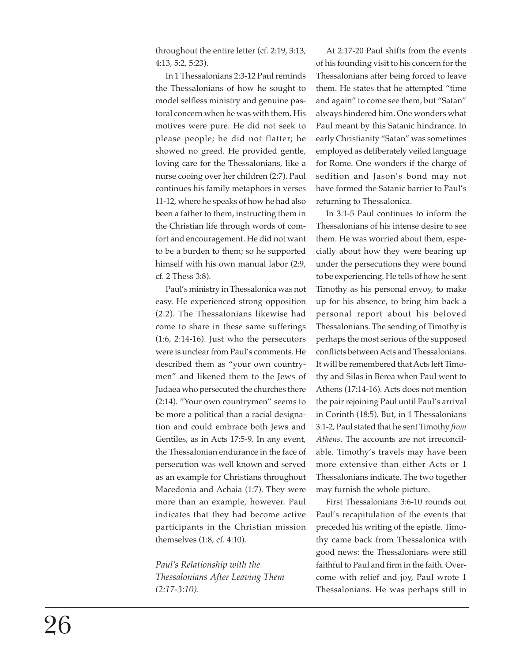throughout the entire letter (cf. 2:19, 3:13, 4:13, 5:2, 5:23).

In 1 Thessalonians 2:3-12 Paul reminds the Thessalonians of how he sought to model selfless ministry and genuine pastoral concern when he was with them. His motives were pure. He did not seek to please people; he did not flatter; he showed no greed. He provided gentle, loving care for the Thessalonians, like a nurse cooing over her children (2:7). Paul continues his family metaphors in verses 11-12, where he speaks of how he had also been a father to them, instructing them in the Christian life through words of comfort and encouragement. He did not want to be a burden to them; so he supported himself with his own manual labor (2:9, cf. 2 Thess 3:8).

Paul's ministry in Thessalonica was not easy. He experienced strong opposition (2:2). The Thessalonians likewise had come to share in these same sufferings (1:6, 2:14-16). Just who the persecutors were is unclear from Paul's comments. He described them as "your own countrymen" and likened them to the Jews of Judaea who persecuted the churches there (2:14). "Your own countrymen" seems to be more a political than a racial designation and could embrace both Jews and Gentiles, as in Acts 17:5-9. In any event, the Thessalonian endurance in the face of persecution was well known and served as an example for Christians throughout Macedonia and Achaia (1:7). They were more than an example, however. Paul indicates that they had become active participants in the Christian mission themselves (1:8, cf. 4:10).

*Paul's Relationship with the Thessalonians After Leaving Them (2:17-3:10).*

At 2:17-20 Paul shifts from the events of his founding visit to his concern for the Thessalonians after being forced to leave them. He states that he attempted "time and again" to come see them, but "Satan" always hindered him. One wonders what Paul meant by this Satanic hindrance. In early Christianity "Satan" was sometimes employed as deliberately veiled language for Rome. One wonders if the charge of sedition and Jason's bond may not have formed the Satanic barrier to Paul's returning to Thessalonica.

In 3:1-5 Paul continues to inform the Thessalonians of his intense desire to see them. He was worried about them, especially about how they were bearing up under the persecutions they were bound to be experiencing. He tells of how he sent Timothy as his personal envoy, to make up for his absence, to bring him back a personal report about his beloved Thessalonians. The sending of Timothy is perhaps the most serious of the supposed conflicts between Acts and Thessalonians. It will be remembered that Acts left Timothy and Silas in Berea when Paul went to Athens (17:14-16). Acts does not mention the pair rejoining Paul until Paul's arrival in Corinth (18:5). But, in 1 Thessalonians 3:1-2, Paul stated that he sent Timothy *from Athens*. The accounts are not irreconcilable. Timothy's travels may have been more extensive than either Acts or 1 Thessalonians indicate. The two together may furnish the whole picture.

First Thessalonians 3:6-10 rounds out Paul's recapitulation of the events that preceded his writing of the epistle. Timothy came back from Thessalonica with good news: the Thessalonians were still faithful to Paul and firm in the faith. Overcome with relief and joy, Paul wrote 1 Thessalonians. He was perhaps still in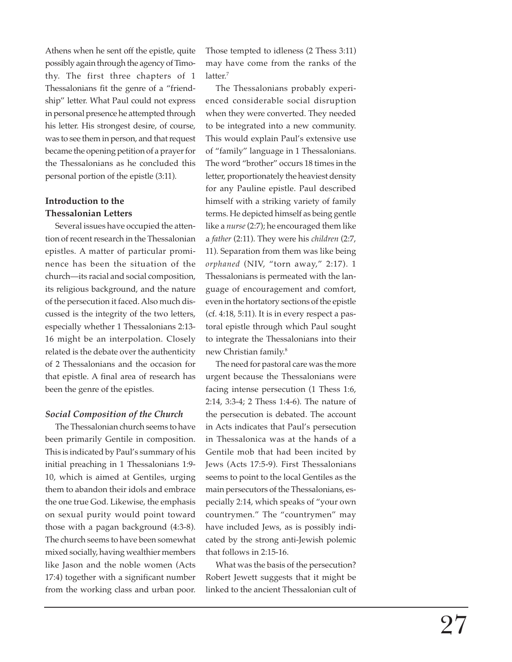Athens when he sent off the epistle, quite possibly again through the agency of Timothy. The first three chapters of 1 Thessalonians fit the genre of a "friendship" letter. What Paul could not express in personal presence he attempted through his letter. His strongest desire, of course, was to see them in person, and that request became the opening petition of a prayer for the Thessalonians as he concluded this personal portion of the epistle (3:11).

# **Introduction to the Thessalonian Letters**

Several issues have occupied the attention of recent research in the Thessalonian epistles. A matter of particular prominence has been the situation of the church—its racial and social composition, its religious background, and the nature of the persecution it faced. Also much discussed is the integrity of the two letters, especially whether 1 Thessalonians 2:13- 16 might be an interpolation. Closely related is the debate over the authenticity of 2 Thessalonians and the occasion for that epistle. A final area of research has been the genre of the epistles.

#### *Social Composition of the Church*

The Thessalonian church seems to have been primarily Gentile in composition. This is indicated by Paul's summary of his initial preaching in 1 Thessalonians 1:9- 10, which is aimed at Gentiles, urging them to abandon their idols and embrace the one true God. Likewise, the emphasis on sexual purity would point toward those with a pagan background (4:3-8). The church seems to have been somewhat mixed socially, having wealthier members like Jason and the noble women (Acts 17:4) together with a significant number from the working class and urban poor. Those tempted to idleness (2 Thess 3:11) may have come from the ranks of the latter $7$ 

The Thessalonians probably experienced considerable social disruption when they were converted. They needed to be integrated into a new community. This would explain Paul's extensive use of "family" language in 1 Thessalonians. The word "brother" occurs 18 times in the letter, proportionately the heaviest density for any Pauline epistle. Paul described himself with a striking variety of family terms. He depicted himself as being gentle like a *nurse* (2:7); he encouraged them like a *father* (2:11). They were his *children* (2:7, 11). Separation from them was like being *orphaned* (NIV, "torn away," 2:17). 1 Thessalonians is permeated with the language of encouragement and comfort, even in the hortatory sections of the epistle (cf. 4:18, 5:11). It is in every respect a pastoral epistle through which Paul sought to integrate the Thessalonians into their new Christian family.8

The need for pastoral care was the more urgent because the Thessalonians were facing intense persecution (1 Thess 1:6, 2:14, 3:3-4; 2 Thess 1:4-6). The nature of the persecution is debated. The account in Acts indicates that Paul's persecution in Thessalonica was at the hands of a Gentile mob that had been incited by Jews (Acts 17:5-9). First Thessalonians seems to point to the local Gentiles as the main persecutors of the Thessalonians, especially 2:14, which speaks of "your own countrymen." The "countrymen" may have included Jews, as is possibly indicated by the strong anti-Jewish polemic that follows in 2:15-16.

What was the basis of the persecution? Robert Jewett suggests that it might be linked to the ancient Thessalonian cult of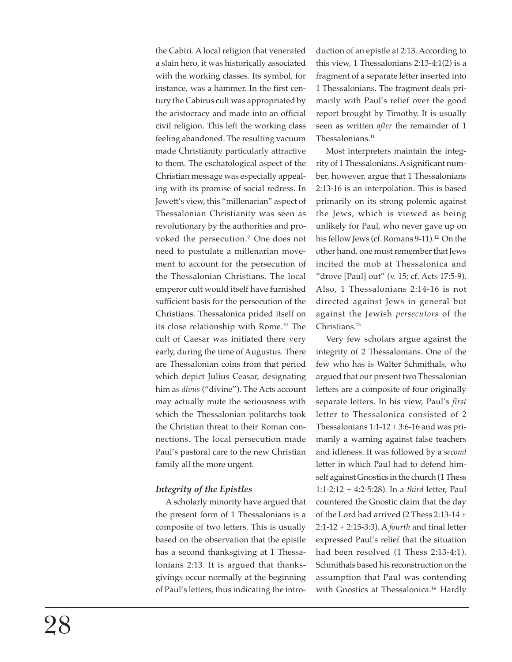the Cabiri. A local religion that venerated a slain hero, it was historically associated with the working classes. Its symbol, for instance, was a hammer. In the first century the Cabirus cult was appropriated by the aristocracy and made into an official civil religion. This left the working class feeling abandoned. The resulting vacuum made Christianity particularly attractive to them. The eschatological aspect of the Christian message was especially appealing with its promise of social redress. In Jewett's view, this "millenarian" aspect of Thessalonian Christianity was seen as revolutionary by the authorities and provoked the persecution.<sup>9</sup> One does not need to postulate a millenarian movement to account for the persecution of the Thessalonian Christians. The local emperor cult would itself have furnished sufficient basis for the persecution of the Christians. Thessalonica prided itself on its close relationship with Rome.10 The cult of Caesar was initiated there very early, during the time of Augustus. There are Thessalonian coins from that period which depict Julius Ceasar, designating him as *divus* ("divine"). The Acts account may actually mute the seriousness with which the Thessalonian politarchs took the Christian threat to their Roman connections. The local persecution made Paul's pastoral care to the new Christian family all the more urgent.

#### *Integrity of the Epistles*

A scholarly minority have argued that the present form of 1 Thessalonians is a composite of two letters. This is usually based on the observation that the epistle has a second thanksgiving at 1 Thessalonians 2:13. It is argued that thanksgivings occur normally at the beginning of Paul's letters, thus indicating the introduction of an epistle at 2:13. According to this view, 1 Thessalonians 2:13-4:1(2) is a fragment of a separate letter inserted into 1 Thessalonians. The fragment deals primarily with Paul's relief over the good report brought by Timothy. It is usually seen as written *after* the remainder of 1 Thessalonians.<sup>11</sup>

Most interpreters maintain the integrity of 1 Thessalonians. A significant number, however, argue that 1 Thessalonians 2:13-16 is an interpolation. This is based primarily on its strong polemic against the Jews, which is viewed as being unlikely for Paul, who never gave up on his fellow Jews (cf. Romans 9-11).<sup>12</sup> On the other hand, one must remember that Jews incited the mob at Thessalonica and "drove [Paul] out" (v. 15; cf. Acts 17:5-9). Also, 1 Thessalonians 2:14-16 is not directed against Jews in general but against the Jewish *persecutors* of the Christians.<sup>13</sup>

Very few scholars argue against the integrity of 2 Thessalonians. One of the few who has is Walter Schmithals, who argued that our present two Thessalonian letters are a composite of four originally separate letters. In his view, Paul's *first* letter to Thessalonica consisted of 2 Thessalonians  $1:1-12+3:6-16$  and was primarily a warning against false teachers and idleness. It was followed by a *second* letter in which Paul had to defend himself against Gnostics in the church (1 Thess 1:1-2:12 + 4:2-5:28). In a *third* letter, Paul countered the Gnostic claim that the day of the Lord had arrived (2 Thess 2:13-14 + 2:1-12 + 2:15-3:3). A *fourth* and final letter expressed Paul's relief that the situation had been resolved (1 Thess 2:13-4:1). Schmithals based his reconstruction on the assumption that Paul was contending with Gnostics at Thessalonica.<sup>14</sup> Hardly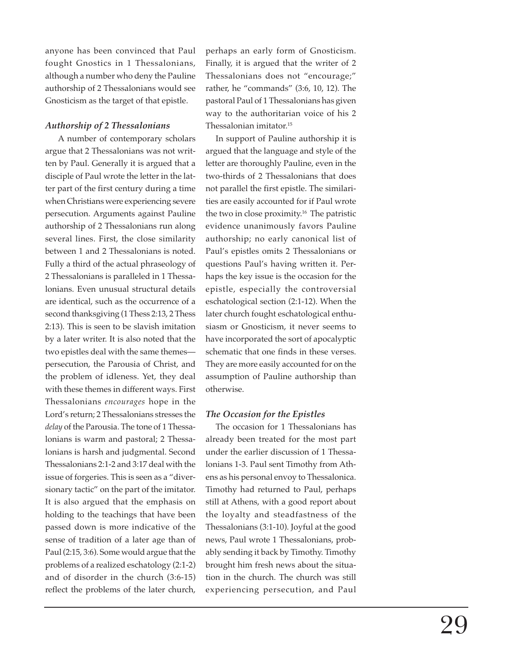anyone has been convinced that Paul fought Gnostics in 1 Thessalonians, although a number who deny the Pauline authorship of 2 Thessalonians would see Gnosticism as the target of that epistle.

#### *Authorship of 2 Thessalonians*

A number of contemporary scholars argue that 2 Thessalonians was not written by Paul. Generally it is argued that a disciple of Paul wrote the letter in the latter part of the first century during a time when Christians were experiencing severe persecution. Arguments against Pauline authorship of 2 Thessalonians run along several lines. First, the close similarity between 1 and 2 Thessalonians is noted. Fully a third of the actual phraseology of 2 Thessalonians is paralleled in 1 Thessalonians. Even unusual structural details are identical, such as the occurrence of a second thanksgiving (1 Thess 2:13, 2 Thess 2:13). This is seen to be slavish imitation by a later writer. It is also noted that the two epistles deal with the same themes persecution, the Parousia of Christ, and the problem of idleness. Yet, they deal with these themes in different ways. First Thessalonians *encourages* hope in the Lord's return; 2 Thessalonians stresses the *delay* of the Parousia. The tone of 1 Thessalonians is warm and pastoral; 2 Thessalonians is harsh and judgmental. Second Thessalonians 2:1-2 and 3:17 deal with the issue of forgeries. This is seen as a "diversionary tactic" on the part of the imitator. It is also argued that the emphasis on holding to the teachings that have been passed down is more indicative of the sense of tradition of a later age than of Paul (2:15, 3:6). Some would argue that the problems of a realized eschatology (2:1-2) and of disorder in the church (3:6-15) reflect the problems of the later church, perhaps an early form of Gnosticism. Finally, it is argued that the writer of 2 Thessalonians does not "encourage;" rather, he "commands" (3:6, 10, 12). The pastoral Paul of 1 Thessalonians has given way to the authoritarian voice of his 2 Thessalonian imitator.15

In support of Pauline authorship it is argued that the language and style of the letter are thoroughly Pauline, even in the two-thirds of 2 Thessalonians that does not parallel the first epistle. The similarities are easily accounted for if Paul wrote the two in close proximity.16 The patristic evidence unanimously favors Pauline authorship; no early canonical list of Paul's epistles omits 2 Thessalonians or questions Paul's having written it. Perhaps the key issue is the occasion for the epistle, especially the controversial eschatological section (2:1-12). When the later church fought eschatological enthusiasm or Gnosticism, it never seems to have incorporated the sort of apocalyptic schematic that one finds in these verses. They are more easily accounted for on the assumption of Pauline authorship than otherwise.

#### *The Occasion for the Epistles*

The occasion for 1 Thessalonians has already been treated for the most part under the earlier discussion of 1 Thessalonians 1-3. Paul sent Timothy from Athens as his personal envoy to Thessalonica. Timothy had returned to Paul, perhaps still at Athens, with a good report about the loyalty and steadfastness of the Thessalonians (3:1-10). Joyful at the good news, Paul wrote 1 Thessalonians, probably sending it back by Timothy. Timothy brought him fresh news about the situation in the church. The church was still experiencing persecution, and Paul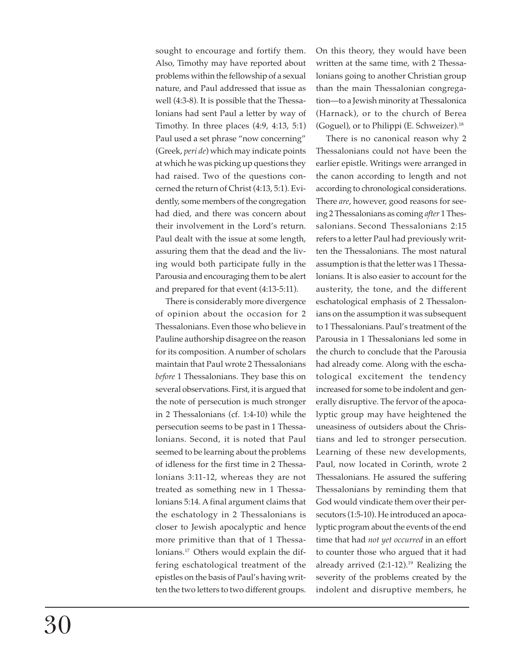sought to encourage and fortify them. Also, Timothy may have reported about problems within the fellowship of a sexual nature, and Paul addressed that issue as well (4:3-8). It is possible that the Thessalonians had sent Paul a letter by way of Timothy. In three places (4:9, 4:13, 5:1) Paul used a set phrase "now concerning" (Greek, *peri de*) which may indicate points at which he was picking up questions they had raised. Two of the questions concerned the return of Christ (4:13, 5:1). Evidently, some members of the congregation had died, and there was concern about their involvement in the Lord's return. Paul dealt with the issue at some length, assuring them that the dead and the living would both participate fully in the Parousia and encouraging them to be alert and prepared for that event (4:13-5:11).

There is considerably more divergence of opinion about the occasion for 2 Thessalonians. Even those who believe in Pauline authorship disagree on the reason for its composition. A number of scholars maintain that Paul wrote 2 Thessalonians *before* 1 Thessalonians. They base this on several observations. First, it is argued that the note of persecution is much stronger in 2 Thessalonians (cf. 1:4-10) while the persecution seems to be past in 1 Thessalonians. Second, it is noted that Paul seemed to be learning about the problems of idleness for the first time in 2 Thessalonians 3:11-12, whereas they are not treated as something new in 1 Thessalonians 5:14. A final argument claims that the eschatology in 2 Thessalonians is closer to Jewish apocalyptic and hence more primitive than that of 1 Thessalonians.17 Others would explain the differing eschatological treatment of the epistles on the basis of Paul's having written the two letters to two different groups.

On this theory, they would have been written at the same time, with 2 Thessalonians going to another Christian group than the main Thessalonian congregation—to a Jewish minority at Thessalonica (Harnack), or to the church of Berea (Goguel), or to Philippi (E. Schweizer).18

There is no canonical reason why 2 Thessalonians could not have been the earlier epistle. Writings were arranged in the canon according to length and not according to chronological considerations. There *are*, however, good reasons for seeing 2 Thessalonians as coming *after* 1 Thessalonians. Second Thessalonians 2:15 refers to a letter Paul had previously written the Thessalonians. The most natural assumption is that the letter was 1 Thessalonians. It is also easier to account for the austerity, the tone, and the different eschatological emphasis of 2 Thessalonians on the assumption it was subsequent to 1 Thessalonians. Paul's treatment of the Parousia in 1 Thessalonians led some in the church to conclude that the Parousia had already come. Along with the eschatological excitement the tendency increased for some to be indolent and generally disruptive. The fervor of the apocalyptic group may have heightened the uneasiness of outsiders about the Christians and led to stronger persecution. Learning of these new developments, Paul, now located in Corinth, wrote 2 Thessalonians. He assured the suffering Thessalonians by reminding them that God would vindicate them over their persecutors (1:5-10). He introduced an apocalyptic program about the events of the end time that had *not yet occurred* in an effort to counter those who argued that it had already arrived  $(2:1-12).19$  Realizing the severity of the problems created by the indolent and disruptive members, he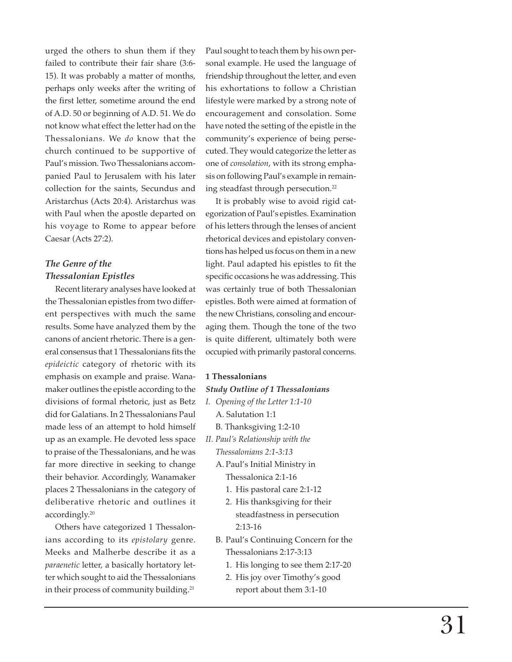urged the others to shun them if they failed to contribute their fair share (3:6- 15). It was probably a matter of months, perhaps only weeks after the writing of the first letter, sometime around the end of A.D. 50 or beginning of A.D. 51. We do not know what effect the letter had on the Thessalonians. We *do* know that the church continued to be supportive of Paul's mission. Two Thessalonians accompanied Paul to Jerusalem with his later collection for the saints, Secundus and Aristarchus (Acts 20:4). Aristarchus was with Paul when the apostle departed on his voyage to Rome to appear before Caesar (Acts 27:2).

# *The Genre of the Thessalonian Epistles*

Recent literary analyses have looked at the Thessalonian epistles from two different perspectives with much the same results. Some have analyzed them by the canons of ancient rhetoric. There is a general consensus that 1 Thessalonians fits the *epideictic* category of rhetoric with its emphasis on example and praise. Wanamaker outlines the epistle according to the divisions of formal rhetoric, just as Betz did for Galatians. In 2 Thessalonians Paul made less of an attempt to hold himself up as an example. He devoted less space to praise of the Thessalonians, and he was far more directive in seeking to change their behavior. Accordingly, Wanamaker places 2 Thessalonians in the category of deliberative rhetoric and outlines it accordingly.20

Others have categorized 1 Thessalonians according to its *epistolary* genre. Meeks and Malherbe describe it as a *paraenetic* letter, a basically hortatory letter which sought to aid the Thessalonians in their process of community building.<sup>21</sup>

Paul sought to teach them by his own personal example. He used the language of friendship throughout the letter, and even his exhortations to follow a Christian lifestyle were marked by a strong note of encouragement and consolation. Some have noted the setting of the epistle in the community's experience of being persecuted. They would categorize the letter as one of *consolation*, with its strong emphasis on following Paul's example in remaining steadfast through persecution.<sup>22</sup>

It is probably wise to avoid rigid categorization of Paul's epistles. Examination of his letters through the lenses of ancient rhetorical devices and epistolary conventions has helped us focus on them in a new light. Paul adapted his epistles to fit the specific occasions he was addressing. This was certainly true of both Thessalonian epistles. Both were aimed at formation of the new Christians, consoling and encouraging them. Though the tone of the two is quite different, ultimately both were occupied with primarily pastoral concerns.

#### **1 Thessalonians**

#### *Study Outline of 1 Thessalonians*

- *I. Opening of the Letter 1:1-10* A. Salutation 1:1
- B. Thanksgiving 1:2-10
- *II. Paul's Relationship with the Thessalonians 2:1-3:13*
	- A. Paul's Initial Ministry in Thessalonica 2:1-16
		- 1. His pastoral care 2:1-12
		- 2. His thanksgiving for their steadfastness in persecution 2:13-16
	- B. Paul's Continuing Concern for the Thessalonians 2:17-3:13
		- 1. His longing to see them 2:17-20
		- 2. His joy over Timothy's good report about them 3:1-10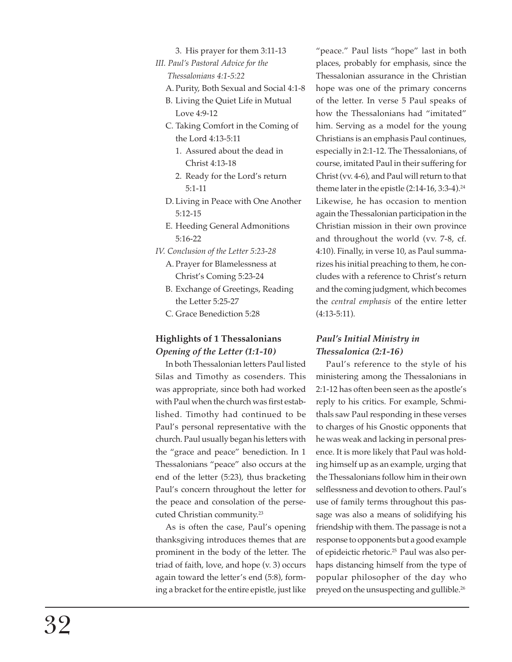- 3. His prayer for them 3:11-13
- *III. Paul's Pastoral Advice for the Thessalonians 4:1-5:22*
	- A. Purity, Both Sexual and Social 4:1-8
	- B. Living the Quiet Life in Mutual Love 4:9-12
	- C. Taking Comfort in the Coming of the Lord 4:13-5:11
		- 1. Assured about the dead in Christ 4:13-18
		- 2. Ready for the Lord's return 5:1-11
	- D. Living in Peace with One Another 5:12-15
	- E. Heeding General Admonitions 5:16-22
- *IV. Conclusion of the Letter 5:23-28*
	- A. Prayer for Blamelessness at Christ's Coming 5:23-24
	- B. Exchange of Greetings, Reading the Letter 5:25-27
	- C. Grace Benediction 5:28

## **Highlights of 1 Thessalonians** *Opening of the Letter (1:1-10)*

In both Thessalonian letters Paul listed Silas and Timothy as cosenders. This was appropriate, since both had worked with Paul when the church was first established. Timothy had continued to be Paul's personal representative with the church. Paul usually began his letters with the "grace and peace" benediction. In 1 Thessalonians "peace" also occurs at the end of the letter (5:23), thus bracketing Paul's concern throughout the letter for the peace and consolation of the persecuted Christian community.23

As is often the case, Paul's opening thanksgiving introduces themes that are prominent in the body of the letter. The triad of faith, love, and hope (v. 3) occurs again toward the letter's end (5:8), forming a bracket for the entire epistle, just like

"peace." Paul lists "hope" last in both places, probably for emphasis, since the Thessalonian assurance in the Christian hope was one of the primary concerns of the letter. In verse 5 Paul speaks of how the Thessalonians had "imitated" him. Serving as a model for the young Christians is an emphasis Paul continues, especially in 2:1-12. The Thessalonians, of course, imitated Paul in their suffering for Christ (vv. 4-6), and Paul will return to that theme later in the epistle  $(2:14-16, 3:3-4).$ <sup>24</sup> Likewise, he has occasion to mention again the Thessalonian participation in the Christian mission in their own province and throughout the world (vv. 7-8, cf. 4:10). Finally, in verse 10, as Paul summarizes his initial preaching to them, he concludes with a reference to Christ's return and the coming judgment, which becomes the *central emphasis* of the entire letter (4:13-5:11).

## *Paul's Initial Ministry in Thessalonica (2:1-16)*

Paul's reference to the style of his ministering among the Thessalonians in 2:1-12 has often been seen as the apostle's reply to his critics. For example, Schmithals saw Paul responding in these verses to charges of his Gnostic opponents that he was weak and lacking in personal presence. It is more likely that Paul was holding himself up as an example, urging that the Thessalonians follow him in their own selflessness and devotion to others. Paul's use of family terms throughout this passage was also a means of solidifying his friendship with them. The passage is not a response to opponents but a good example of epideictic rhetoric.25 Paul was also perhaps distancing himself from the type of popular philosopher of the day who preyed on the unsuspecting and gullible.26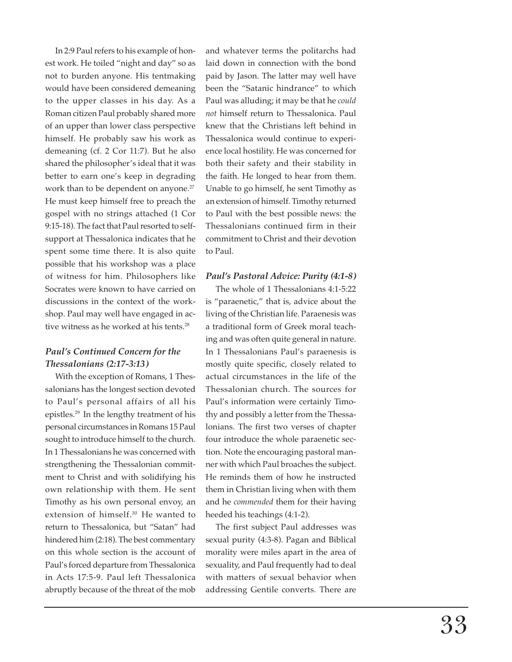In 2:9 Paul refers to his example of honest work. He toiled "night and day" so as not to burden anyone. His tentmaking would have been considered demeaning to the upper classes in his day. As a Roman citizen Paul probably shared more of an upper than lower class perspective himself. He probably saw his work as demeaning (cf. 2 Cor 11:7). But he also shared the philosopher's ideal that it was better to earn one's keep in degrading work than to be dependent on anyone.<sup>27</sup> He must keep himself free to preach the gospel with no strings attached (1 Cor 9:15-18). The fact that Paul resorted to selfsupport at Thessalonica indicates that he spent some time there. It is also quite possible that his workshop was a place of witness for him. Philosophers like Socrates were known to have carried on discussions in the context of the workshop. Paul may well have engaged in active witness as he worked at his tents.<sup>28</sup>

#### *Paul's Continued Concern for the Thessalonians (2:17-3:13)*

With the exception of Romans, 1 Thessalonians has the longest section devoted to Paul's personal affairs of all his epistles.29 In the lengthy treatment of his personal circumstances in Romans 15 Paul sought to introduce himself to the church. In 1 Thessalonians he was concerned with strengthening the Thessalonian commitment to Christ and with solidifying his own relationship with them. He sent Timothy as his own personal envoy, an extension of himself.<sup>30</sup> He wanted to return to Thessalonica, but "Satan" had hindered him (2:18). The best commentary on this whole section is the account of Paul's forced departure from Thessalonica in Acts 17:5-9. Paul left Thessalonica abruptly because of the threat of the mob

and whatever terms the politarchs had laid down in connection with the bond paid by Jason. The latter may well have been the "Satanic hindrance" to which Paul was alluding; it may be that he *could not* himself return to Thessalonica. Paul knew that the Christians left behind in Thessalonica would continue to experience local hostility. He was concerned for both their safety and their stability in the faith. He longed to hear from them. Unable to go himself, he sent Timothy as an extension of himself. Timothy returned to Paul with the best possible news: the Thessalonians continued firm in their commitment to Christ and their devotion to Paul.

#### *Paul's Pastoral Advice: Purity (4:1-8)*

The whole of 1 Thessalonians 4:1-5:22 is "paraenetic," that is, advice about the living of the Christian life. Paraenesis was a traditional form of Greek moral teaching and was often quite general in nature. In 1 Thessalonians Paul's paraenesis is mostly quite specific, closely related to actual circumstances in the life of the Thessalonian church. The sources for Paul's information were certainly Timothy and possibly a letter from the Thessalonians. The first two verses of chapter four introduce the whole paraenetic section. Note the encouraging pastoral manner with which Paul broaches the subject. He reminds them of how he instructed them in Christian living when with them and he *commended* them for their having heeded his teachings (4:1-2).

The first subject Paul addresses was sexual purity (4:3-8). Pagan and Biblical morality were miles apart in the area of sexuality, and Paul frequently had to deal with matters of sexual behavior when addressing Gentile converts. There are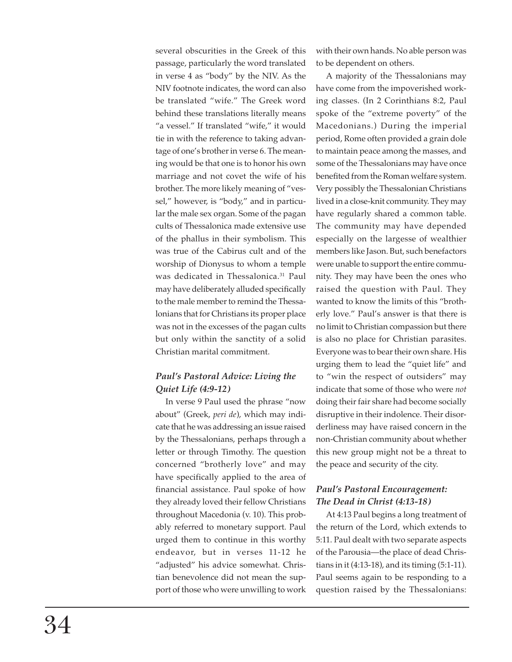several obscurities in the Greek of this passage, particularly the word translated in verse 4 as "body" by the NIV. As the NIV footnote indicates, the word can also be translated "wife." The Greek word behind these translations literally means "a vessel." If translated "wife," it would tie in with the reference to taking advantage of one's brother in verse 6. The meaning would be that one is to honor his own marriage and not covet the wife of his brother. The more likely meaning of "vessel," however, is "body," and in particular the male sex organ. Some of the pagan cults of Thessalonica made extensive use of the phallus in their symbolism. This was true of the Cabirus cult and of the worship of Dionysus to whom a temple was dedicated in Thessalonica.<sup>31</sup> Paul may have deliberately alluded specifically to the male member to remind the Thessalonians that for Christians its proper place was not in the excesses of the pagan cults but only within the sanctity of a solid Christian marital commitment.

# *Paul's Pastoral Advice: Living the Quiet Life (4:9-12)*

In verse 9 Paul used the phrase "now about" (Greek, *peri de*), which may indicate that he was addressing an issue raised by the Thessalonians, perhaps through a letter or through Timothy. The question concerned "brotherly love" and may have specifically applied to the area of financial assistance. Paul spoke of how they already loved their fellow Christians throughout Macedonia (v. 10). This probably referred to monetary support. Paul urged them to continue in this worthy endeavor, but in verses 11-12 he "adjusted" his advice somewhat. Christian benevolence did not mean the support of those who were unwilling to work with their own hands. No able person was to be dependent on others.

A majority of the Thessalonians may have come from the impoverished working classes. (In 2 Corinthians 8:2, Paul spoke of the "extreme poverty" of the Macedonians.) During the imperial period, Rome often provided a grain dole to maintain peace among the masses, and some of the Thessalonians may have once benefited from the Roman welfare system. Very possibly the Thessalonian Christians lived in a close-knit community. They may have regularly shared a common table. The community may have depended especially on the largesse of wealthier members like Jason. But, such benefactors were unable to support the entire community. They may have been the ones who raised the question with Paul. They wanted to know the limits of this "brotherly love." Paul's answer is that there is no limit to Christian compassion but there is also no place for Christian parasites. Everyone was to bear their own share. His urging them to lead the "quiet life" and to "win the respect of outsiders" may indicate that some of those who were *not* doing their fair share had become socially disruptive in their indolence. Their disorderliness may have raised concern in the non-Christian community about whether this new group might not be a threat to the peace and security of the city.

## *Paul's Pastoral Encouragement: The Dead in Christ (4:13-18)*

At 4:13 Paul begins a long treatment of the return of the Lord, which extends to 5:11. Paul dealt with two separate aspects of the Parousia—the place of dead Christians in it (4:13-18), and its timing (5:1-11). Paul seems again to be responding to a question raised by the Thessalonians: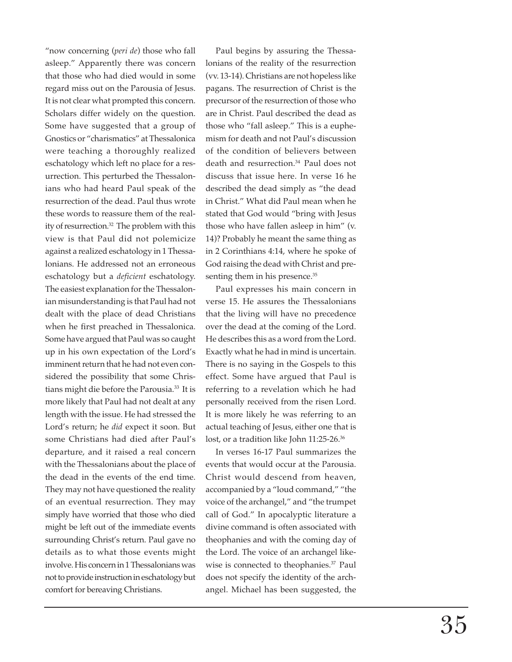"now concerning (*peri de*) those who fall asleep." Apparently there was concern that those who had died would in some regard miss out on the Parousia of Jesus. It is not clear what prompted this concern. Scholars differ widely on the question. Some have suggested that a group of Gnostics or "charismatics" at Thessalonica were teaching a thoroughly realized eschatology which left no place for a resurrection. This perturbed the Thessalonians who had heard Paul speak of the resurrection of the dead. Paul thus wrote these words to reassure them of the reality of resurrection.<sup>32</sup> The problem with this view is that Paul did not polemicize against a realized eschatology in 1 Thessalonians. He addressed not an erroneous eschatology but a *deficient* eschatology. The easiest explanation for the Thessalonian misunderstanding is that Paul had not dealt with the place of dead Christians when he first preached in Thessalonica. Some have argued that Paul was so caught up in his own expectation of the Lord's imminent return that he had not even considered the possibility that some Christians might die before the Parousia.<sup>33</sup> It is more likely that Paul had not dealt at any length with the issue. He had stressed the Lord's return; he *did* expect it soon. But some Christians had died after Paul's departure, and it raised a real concern with the Thessalonians about the place of the dead in the events of the end time. They may not have questioned the reality of an eventual resurrection. They may simply have worried that those who died might be left out of the immediate events surrounding Christ's return. Paul gave no details as to what those events might involve. His concern in 1 Thessalonians was not to provide instruction in eschatology but comfort for bereaving Christians.

Paul begins by assuring the Thessalonians of the reality of the resurrection (vv. 13-14). Christians are not hopeless like pagans. The resurrection of Christ is the precursor of the resurrection of those who are in Christ. Paul described the dead as those who "fall asleep." This is a euphemism for death and not Paul's discussion of the condition of believers between death and resurrection.<sup>34</sup> Paul does not discuss that issue here. In verse 16 he described the dead simply as "the dead in Christ." What did Paul mean when he stated that God would "bring with Jesus those who have fallen asleep in him" (v. 14)? Probably he meant the same thing as in 2 Corinthians 4:14, where he spoke of God raising the dead with Christ and presenting them in his presence.<sup>35</sup>

Paul expresses his main concern in verse 15. He assures the Thessalonians that the living will have no precedence over the dead at the coming of the Lord. He describes this as a word from the Lord. Exactly what he had in mind is uncertain. There is no saying in the Gospels to this effect. Some have argued that Paul is referring to a revelation which he had personally received from the risen Lord. It is more likely he was referring to an actual teaching of Jesus, either one that is lost, or a tradition like John 11:25-26.<sup>36</sup>

In verses 16-17 Paul summarizes the events that would occur at the Parousia. Christ would descend from heaven, accompanied by a "loud command," "the voice of the archangel," and "the trumpet call of God." In apocalyptic literature a divine command is often associated with theophanies and with the coming day of the Lord. The voice of an archangel likewise is connected to theophanies.<sup>37</sup> Paul does not specify the identity of the archangel. Michael has been suggested, the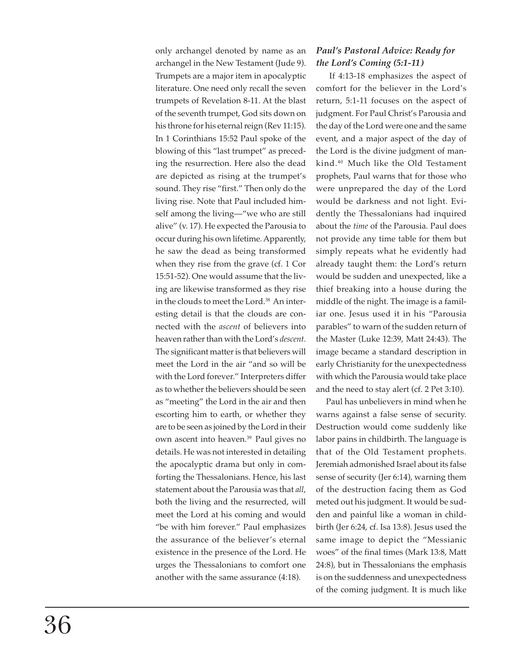only archangel denoted by name as an archangel in the New Testament (Jude 9). Trumpets are a major item in apocalyptic literature. One need only recall the seven trumpets of Revelation 8-11. At the blast of the seventh trumpet, God sits down on his throne for his eternal reign (Rev 11:15). In 1 Corinthians 15:52 Paul spoke of the blowing of this "last trumpet" as preceding the resurrection. Here also the dead are depicted as rising at the trumpet's sound. They rise "first." Then only do the living rise. Note that Paul included himself among the living—"we who are still alive" (v. 17). He expected the Parousia to occur during his own lifetime. Apparently, he saw the dead as being transformed when they rise from the grave (cf. 1 Cor 15:51-52). One would assume that the living are likewise transformed as they rise in the clouds to meet the Lord.<sup>38</sup> An interesting detail is that the clouds are connected with the *ascent* of believers into heaven rather than with the Lord's *descent.* The significant matter is that believers will meet the Lord in the air "and so will be with the Lord forever." Interpreters differ as to whether the believers should be seen as "meeting" the Lord in the air and then escorting him to earth, or whether they are to be seen as joined by the Lord in their own ascent into heaven.<sup>39</sup> Paul gives no details. He was not interested in detailing the apocalyptic drama but only in comforting the Thessalonians. Hence, his last statement about the Parousia was that *all*, both the living and the resurrected, will meet the Lord at his coming and would "be with him forever." Paul emphasizes the assurance of the believer's eternal existence in the presence of the Lord. He urges the Thessalonians to comfort one another with the same assurance (4:18).

## *Paul's Pastoral Advice: Ready for the Lord's Coming (5:1-11)*

If 4:13-18 emphasizes the aspect of comfort for the believer in the Lord's return, 5:1-11 focuses on the aspect of judgment. For Paul Christ's Parousia and the day of the Lord were one and the same event, and a major aspect of the day of the Lord is the divine judgment of mankind.40 Much like the Old Testament prophets, Paul warns that for those who were unprepared the day of the Lord would be darkness and not light. Evidently the Thessalonians had inquired about the *time* of the Parousia. Paul does not provide any time table for them but simply repeats what he evidently had already taught them: the Lord's return would be sudden and unexpected, like a thief breaking into a house during the middle of the night. The image is a familiar one. Jesus used it in his "Parousia parables" to warn of the sudden return of the Master (Luke 12:39, Matt 24:43). The image became a standard description in early Christianity for the unexpectedness with which the Parousia would take place and the need to stay alert (cf. 2 Pet 3:10).

Paul has unbelievers in mind when he warns against a false sense of security. Destruction would come suddenly like labor pains in childbirth. The language is that of the Old Testament prophets. Jeremiah admonished Israel about its false sense of security (Jer 6:14), warning them of the destruction facing them as God meted out his judgment. It would be sudden and painful like a woman in childbirth (Jer 6:24, cf. Isa 13:8). Jesus used the same image to depict the "Messianic woes" of the final times (Mark 13:8, Matt 24:8), but in Thessalonians the emphasis is on the suddenness and unexpectedness of the coming judgment. It is much like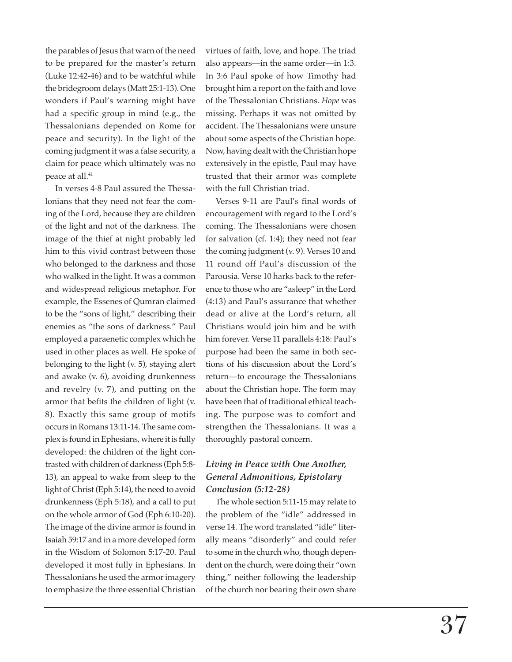the parables of Jesus that warn of the need to be prepared for the master's return (Luke 12:42-46) and to be watchful while the bridegroom delays (Matt 25:1-13). One wonders if Paul's warning might have had a specific group in mind (e.g., the Thessalonians depended on Rome for peace and security). In the light of the coming judgment it was a false security, a claim for peace which ultimately was no peace at all.<sup>41</sup>

In verses 4-8 Paul assured the Thessalonians that they need not fear the coming of the Lord, because they are children of the light and not of the darkness. The image of the thief at night probably led him to this vivid contrast between those who belonged to the darkness and those who walked in the light. It was a common and widespread religious metaphor. For example, the Essenes of Qumran claimed to be the "sons of light," describing their enemies as "the sons of darkness." Paul employed a paraenetic complex which he used in other places as well. He spoke of belonging to the light (v. 5), staying alert and awake (v. 6), avoiding drunkenness and revelry (v. 7), and putting on the armor that befits the children of light (v. 8). Exactly this same group of motifs occurs in Romans 13:11-14. The same complex is found in Ephesians, where it is fully developed: the children of the light contrasted with children of darkness (Eph 5:8- 13), an appeal to wake from sleep to the light of Christ (Eph 5:14), the need to avoid drunkenness (Eph 5:18), and a call to put on the whole armor of God (Eph 6:10-20). The image of the divine armor is found in Isaiah 59:17 and in a more developed form in the Wisdom of Solomon 5:17-20. Paul developed it most fully in Ephesians. In Thessalonians he used the armor imagery to emphasize the three essential Christian

virtues of faith, love, and hope. The triad also appears—in the same order—in 1:3. In 3:6 Paul spoke of how Timothy had brought him a report on the faith and love of the Thessalonian Christians. *Hope* was missing. Perhaps it was not omitted by accident. The Thessalonians were unsure about some aspects of the Christian hope. Now, having dealt with the Christian hope extensively in the epistle, Paul may have trusted that their armor was complete with the full Christian triad.

Verses 9-11 are Paul's final words of encouragement with regard to the Lord's coming. The Thessalonians were chosen for salvation (cf. 1:4); they need not fear the coming judgment (v. 9). Verses 10 and 11 round off Paul's discussion of the Parousia. Verse 10 harks back to the reference to those who are "asleep" in the Lord (4:13) and Paul's assurance that whether dead or alive at the Lord's return, all Christians would join him and be with him forever. Verse 11 parallels 4:18: Paul's purpose had been the same in both sections of his discussion about the Lord's return—to encourage the Thessalonians about the Christian hope. The form may have been that of traditional ethical teaching. The purpose was to comfort and strengthen the Thessalonians. It was a thoroughly pastoral concern.

## *Living in Peace with One Another, General Admonitions, Epistolary Conclusion (5:12-28)*

The whole section 5:11-15 may relate to the problem of the "idle" addressed in verse 14. The word translated "idle" literally means "disorderly" and could refer to some in the church who, though dependent on the church, were doing their "own thing," neither following the leadership of the church nor bearing their own share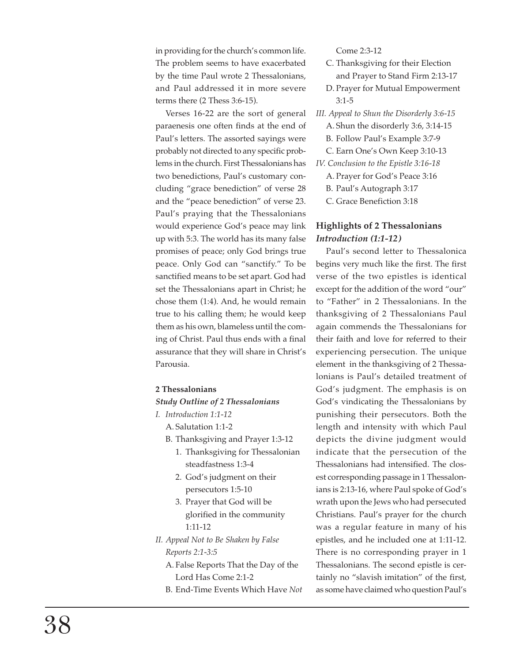in providing for the church's common life. The problem seems to have exacerbated by the time Paul wrote 2 Thessalonians, and Paul addressed it in more severe terms there (2 Thess 3:6-15).

Verses 16-22 are the sort of general paraenesis one often finds at the end of Paul's letters. The assorted sayings were probably not directed to any specific problems in the church. First Thessalonians has two benedictions, Paul's customary concluding "grace benediction" of verse 28 and the "peace benediction" of verse 23. Paul's praying that the Thessalonians would experience God's peace may link up with 5:3. The world has its many false promises of peace; only God brings true peace. Only God can "sanctify." To be sanctified means to be set apart. God had set the Thessalonians apart in Christ; he chose them (1:4). And, he would remain true to his calling them; he would keep them as his own, blameless until the coming of Christ. Paul thus ends with a final assurance that they will share in Christ's Parousia.

#### **2 Thessalonians**

#### *Study Outline of 2 Thessalonians*

- *I. Introduction 1:1-12*
	- A. Salutation 1:1-2
	- B. Thanksgiving and Prayer 1:3-12
		- 1. Thanksgiving for Thessalonian steadfastness 1:3-4
		- 2. God's judgment on their persecutors 1:5-10
		- 3. Prayer that God will be glorified in the community 1:11-12
- *II. Appeal Not to Be Shaken by False Reports 2:1-3:5*
	- A. False Reports That the Day of the Lord Has Come 2:1-2
	- B. End-Time Events Which Have *Not*

Come 2:3-12

- C. Thanksgiving for their Election and Prayer to Stand Firm 2:13-17
- D. Prayer for Mutual Empowerment 3:1-5
- *III. Appeal to Shun the Disorderly 3:6-15* A. Shun the disorderly 3:6, 3:14-15 B. Follow Paul's Example 3:7-9
	- C. Earn One's Own Keep 3:10-13
- *IV. Conclusion to the Epistle 3:16-18* A. Prayer for God's Peace 3:16 B. Paul's Autograph 3:17
	- C. Grace Benefiction 3:18

#### **Highlights of 2 Thessalonians** *Introduction (1:1-12)*

Paul's second letter to Thessalonica begins very much like the first. The first verse of the two epistles is identical except for the addition of the word "our" to "Father" in 2 Thessalonians. In the thanksgiving of 2 Thessalonians Paul again commends the Thessalonians for their faith and love for referred to their experiencing persecution. The unique element in the thanksgiving of 2 Thessalonians is Paul's detailed treatment of God's judgment. The emphasis is on God's vindicating the Thessalonians by punishing their persecutors. Both the length and intensity with which Paul depicts the divine judgment would indicate that the persecution of the Thessalonians had intensified. The closest corresponding passage in 1 Thessalonians is 2:13-16, where Paul spoke of God's wrath upon the Jews who had persecuted Christians. Paul's prayer for the church was a regular feature in many of his epistles, and he included one at 1:11-12. There is no corresponding prayer in 1 Thessalonians. The second epistle is certainly no "slavish imitation" of the first, as some have claimed who question Paul's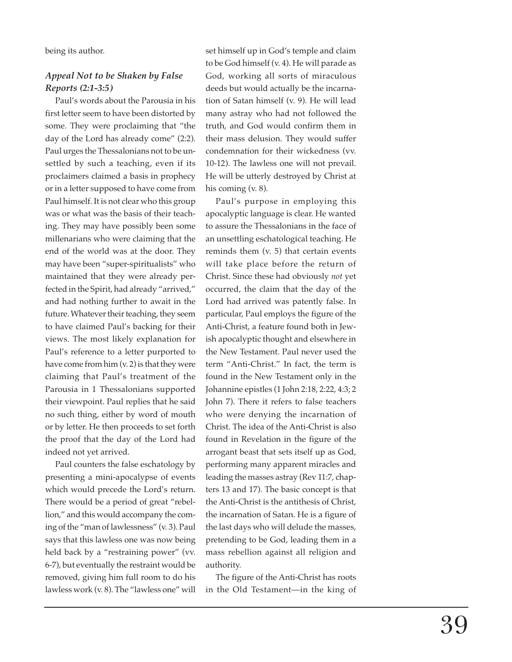being its author.

# *Appeal Not to be Shaken by False Reports (2:1-3:5)*

Paul's words about the Parousia in his first letter seem to have been distorted by some. They were proclaiming that "the day of the Lord has already come" (2:2). Paul urges the Thessalonians not to be unsettled by such a teaching, even if its proclaimers claimed a basis in prophecy or in a letter supposed to have come from Paul himself. It is not clear who this group was or what was the basis of their teaching. They may have possibly been some millenarians who were claiming that the end of the world was at the door. They may have been "super-spiritualists" who maintained that they were already perfected in the Spirit, had already "arrived," and had nothing further to await in the future. Whatever their teaching, they seem to have claimed Paul's backing for their views. The most likely explanation for Paul's reference to a letter purported to have come from him (v. 2) is that they were claiming that Paul's treatment of the Parousia in 1 Thessalonians supported their viewpoint. Paul replies that he said no such thing, either by word of mouth or by letter. He then proceeds to set forth the proof that the day of the Lord had indeed not yet arrived.

Paul counters the false eschatology by presenting a mini-apocalypse of events which would precede the Lord's return. There would be a period of great "rebellion," and this would accompany the coming of the "man of lawlessness" (v. 3). Paul says that this lawless one was now being held back by a "restraining power" (vv. 6-7), but eventually the restraint would be removed, giving him full room to do his lawless work (v. 8). The "lawless one" will

set himself up in God's temple and claim to be God himself (v. 4). He will parade as God, working all sorts of miraculous deeds but would actually be the incarnation of Satan himself (v. 9). He will lead many astray who had not followed the truth, and God would confirm them in their mass delusion. They would suffer condemnation for their wickedness (vv. 10-12). The lawless one will not prevail. He will be utterly destroyed by Christ at his coming (v. 8).

Paul's purpose in employing this apocalyptic language is clear. He wanted to assure the Thessalonians in the face of an unsettling eschatological teaching. He reminds them (v. 5) that certain events will take place before the return of Christ. Since these had obviously *not* yet occurred, the claim that the day of the Lord had arrived was patently false. In particular, Paul employs the figure of the Anti-Christ, a feature found both in Jewish apocalyptic thought and elsewhere in the New Testament. Paul never used the term "Anti-Christ." In fact, the term is found in the New Testament only in the Johannine epistles (1 John 2:18, 2:22, 4:3; 2 John 7). There it refers to false teachers who were denying the incarnation of Christ. The idea of the Anti-Christ is also found in Revelation in the figure of the arrogant beast that sets itself up as God, performing many apparent miracles and leading the masses astray (Rev 11:7, chapters 13 and 17). The basic concept is that the Anti-Christ is the antithesis of Christ, the incarnation of Satan. He is a figure of the last days who will delude the masses, pretending to be God, leading them in a mass rebellion against all religion and authority.

The figure of the Anti-Christ has roots in the Old Testament—in the king of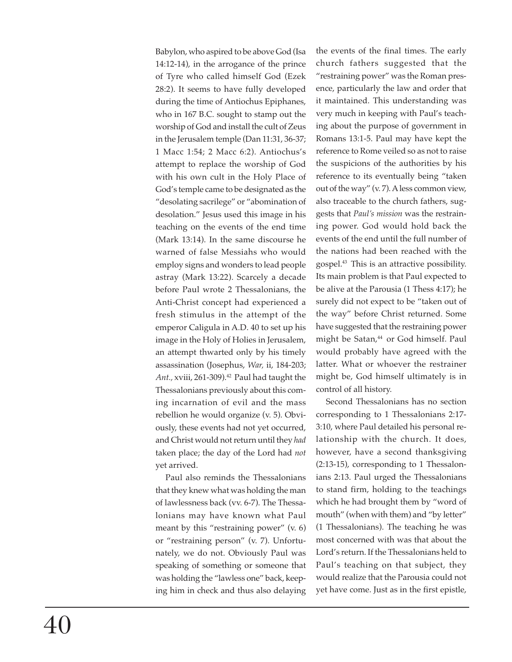Babylon, who aspired to be above God (Isa 14:12-14), in the arrogance of the prince of Tyre who called himself God (Ezek 28:2). It seems to have fully developed during the time of Antiochus Epiphanes, who in 167 B.C. sought to stamp out the worship of God and install the cult of Zeus in the Jerusalem temple (Dan 11:31, 36-37; 1 Macc 1:54; 2 Macc 6:2). Antiochus's attempt to replace the worship of God with his own cult in the Holy Place of God's temple came to be designated as the "desolating sacrilege" or "abomination of desolation." Jesus used this image in his teaching on the events of the end time (Mark 13:14). In the same discourse he warned of false Messiahs who would employ signs and wonders to lead people astray (Mark 13:22). Scarcely a decade before Paul wrote 2 Thessalonians, the Anti-Christ concept had experienced a fresh stimulus in the attempt of the emperor Caligula in A.D. 40 to set up his image in the Holy of Holies in Jerusalem, an attempt thwarted only by his timely assassination (Josephus, *War,* ii, 184-203; Ant., xviii, 261-309).<sup>42</sup> Paul had taught the Thessalonians previously about this coming incarnation of evil and the mass rebellion he would organize (v. 5). Obviously, these events had not yet occurred, and Christ would not return until they *had* taken place; the day of the Lord had *not* yet arrived.

Paul also reminds the Thessalonians that they knew what was holding the man of lawlessness back (vv. 6-7). The Thessalonians may have known what Paul meant by this "restraining power" (v. 6) or "restraining person" (v. 7). Unfortunately, we do not. Obviously Paul was speaking of something or someone that was holding the "lawless one" back, keeping him in check and thus also delaying the events of the final times. The early church fathers suggested that the "restraining power" was the Roman presence, particularly the law and order that it maintained. This understanding was very much in keeping with Paul's teaching about the purpose of government in Romans 13:1-5. Paul may have kept the reference to Rome veiled so as not to raise the suspicions of the authorities by his reference to its eventually being "taken out of the way" (v. 7). A less common view, also traceable to the church fathers, suggests that *Paul's mission* was the restraining power. God would hold back the events of the end until the full number of the nations had been reached with the gospel.43 This is an attractive possibility. Its main problem is that Paul expected to be alive at the Parousia (1 Thess 4:17); he surely did not expect to be "taken out of the way" before Christ returned. Some have suggested that the restraining power might be Satan,<sup>44</sup> or God himself. Paul would probably have agreed with the latter. What or whoever the restrainer might be, God himself ultimately is in control of all history.

Second Thessalonians has no section corresponding to 1 Thessalonians 2:17- 3:10, where Paul detailed his personal relationship with the church. It does, however, have a second thanksgiving (2:13-15), corresponding to 1 Thessalonians 2:13. Paul urged the Thessalonians to stand firm, holding to the teachings which he had brought them by "word of mouth" (when with them) and "by letter" (1 Thessalonians). The teaching he was most concerned with was that about the Lord's return. If the Thessalonians held to Paul's teaching on that subject, they would realize that the Parousia could not yet have come. Just as in the first epistle,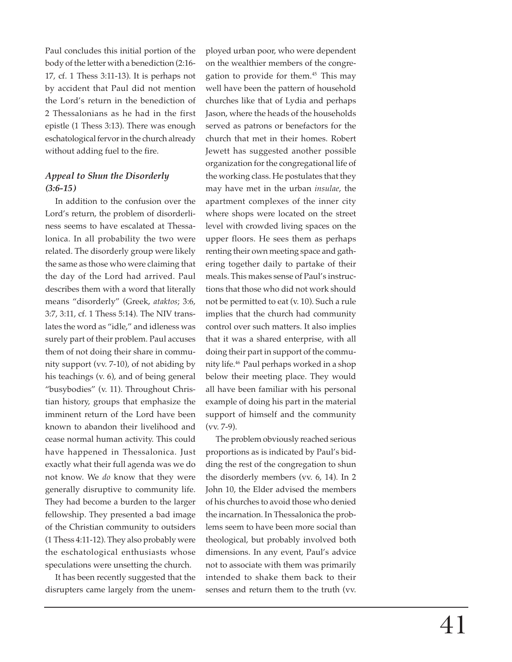Paul concludes this initial portion of the body of the letter with a benediction (2:16- 17, cf. 1 Thess 3:11-13). It is perhaps not by accident that Paul did not mention the Lord's return in the benediction of 2 Thessalonians as he had in the first epistle (1 Thess 3:13). There was enough eschatological fervor in the church already without adding fuel to the fire.

#### *Appeal to Shun the Disorderly (3:6-15)*

In addition to the confusion over the Lord's return, the problem of disorderliness seems to have escalated at Thessalonica. In all probability the two were related. The disorderly group were likely the same as those who were claiming that the day of the Lord had arrived. Paul describes them with a word that literally means "disorderly" (Greek, *ataktos*; 3:6, 3:7, 3:11, cf. 1 Thess 5:14). The NIV translates the word as "idle," and idleness was surely part of their problem. Paul accuses them of not doing their share in community support (vv. 7-10), of not abiding by his teachings (v. 6), and of being general "busybodies" (v. 11). Throughout Christian history, groups that emphasize the imminent return of the Lord have been known to abandon their livelihood and cease normal human activity. This could have happened in Thessalonica. Just exactly what their full agenda was we do not know. We *do* know that they were generally disruptive to community life. They had become a burden to the larger fellowship. They presented a bad image of the Christian community to outsiders (1 Thess 4:11-12). They also probably were the eschatological enthusiasts whose speculations were unsetting the church.

It has been recently suggested that the disrupters came largely from the unem-

ployed urban poor, who were dependent on the wealthier members of the congregation to provide for them.45 This may well have been the pattern of household churches like that of Lydia and perhaps Jason, where the heads of the households served as patrons or benefactors for the church that met in their homes. Robert Jewett has suggested another possible organization for the congregational life of the working class. He postulates that they may have met in the urban *insulae*, the apartment complexes of the inner city where shops were located on the street level with crowded living spaces on the upper floors. He sees them as perhaps renting their own meeting space and gathering together daily to partake of their meals. This makes sense of Paul's instructions that those who did not work should not be permitted to eat (v. 10). Such a rule implies that the church had community control over such matters. It also implies that it was a shared enterprise, with all doing their part in support of the community life.46 Paul perhaps worked in a shop below their meeting place. They would all have been familiar with his personal example of doing his part in the material support of himself and the community (vv. 7-9).

The problem obviously reached serious proportions as is indicated by Paul's bidding the rest of the congregation to shun the disorderly members (vv. 6, 14). In 2 John 10, the Elder advised the members of his churches to avoid those who denied the incarnation. In Thessalonica the problems seem to have been more social than theological, but probably involved both dimensions. In any event, Paul's advice not to associate with them was primarily intended to shake them back to their senses and return them to the truth (vv.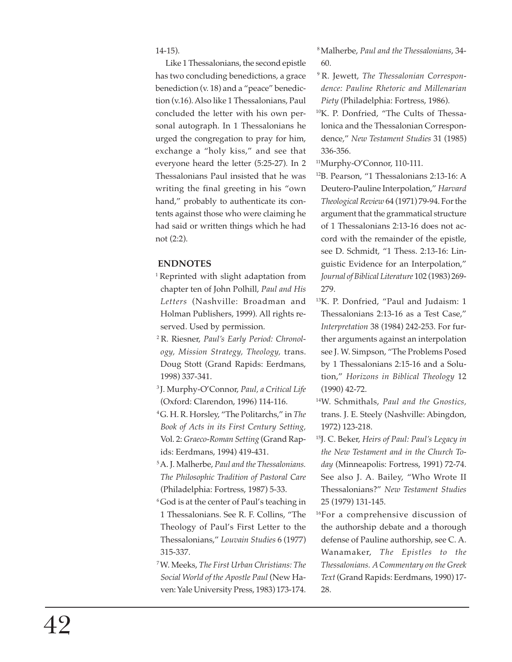14-15).

Like 1 Thessalonians, the second epistle has two concluding benedictions, a grace benediction (v. 18) and a "peace" benediction (v.16). Also like 1 Thessalonians, Paul concluded the letter with his own personal autograph. In 1 Thessalonians he urged the congregation to pray for him, exchange a "holy kiss," and see that everyone heard the letter (5:25-27). In 2 Thessalonians Paul insisted that he was writing the final greeting in his "own hand," probably to authenticate its contents against those who were claiming he had said or written things which he had not (2:2).

#### **ENDNOTES**

- <sup>1</sup> Reprinted with slight adaptation from chapter ten of John Polhill, *Paul and His Letters* (Nashville: Broadman and Holman Publishers, 1999). All rights reserved. Used by permission.
- 2 R. Riesner, *Paul's Early Period: Chronology, Mission Strategy, Theology,* trans. Doug Stott (Grand Rapids: Eerdmans, 1998) 337-341.
- 3 J. Murphy-O'Connor, *Paul, a Critical Life* (Oxford: Clarendon, 1996) 114-116.
- 4 G. H. R. Horsley, "The Politarchs," in *The Book of Acts in its First Century Setting,* Vol. 2: *Graeco-Roman Setting* (Grand Rapids: Eerdmans, 1994) 419-431.
- 5 A. J. Malherbe, *Paul and the Thessalonians. The Philosophic Tradition of Pastoral Care* (Philadelphia: Fortress, 1987) 5-33.
- <sup>6</sup> God is at the center of Paul's teaching in 1 Thessalonians. See R. F. Collins, "The Theology of Paul's First Letter to the Thessalonians," *Louvain Studies* 6 (1977) 315-337.
- 7 W. Meeks, *The First Urban Christians: The Social World of the Apostle Paul* (New Haven: Yale University Press, 1983) 173-174.

8 Malherbe, *Paul and the Thessalonians*, 34- 60.

- 9 R. Jewett, *The Thessalonian Correspondence: Pauline Rhetoric and Millenarian Piety* (Philadelphia: Fortress, 1986).
- 10K. P. Donfried, "The Cults of Thessalonica and the Thessalonian Correspondence," *New Testament Studies* 31 (1985) 336-356.
- 11Murphy-O'Connor, 110-111.
- 12B. Pearson, "1 Thessalonians 2:13-16: A Deutero-Pauline Interpolation," *Harvard Theological Review* 64 (1971) 79-94. For the argument that the grammatical structure of 1 Thessalonians 2:13-16 does not accord with the remainder of the epistle, see D. Schmidt, "1 Thess. 2:13-16: Linguistic Evidence for an Interpolation," *Journal of Biblical Literature* 102 (1983) 269- 279.
- 13K. P. Donfried, "Paul and Judaism: 1 Thessalonians 2:13-16 as a Test Case," *Interpretation* 38 (1984) 242-253. For further arguments against an interpolation see J. W. Simpson, "The Problems Posed by 1 Thessalonians 2:15-16 and a Solution," *Horizons in Biblical Theology* 12 (1990) 42-72.
- 14W. Schmithals, *Paul and the Gnostics,* trans. J. E. Steely (Nashville: Abingdon, 1972) 123-218.
- 15J. C. Beker, *Heirs of Paul: Paul's Legacy in the New Testament and in the Church Today* (Minneapolis: Fortress, 1991) 72-74. See also J. A. Bailey, "Who Wrote II Thessalonians?" *New Testament Studies* 25 (1979) 131-145.
- <sup>16</sup>For a comprehensive discussion of the authorship debate and a thorough defense of Pauline authorship, see C. A. Wanamaker, *The Epistles to the Thessalonians. A Commentary on the Greek Text* (Grand Rapids: Eerdmans, 1990) 17- 28.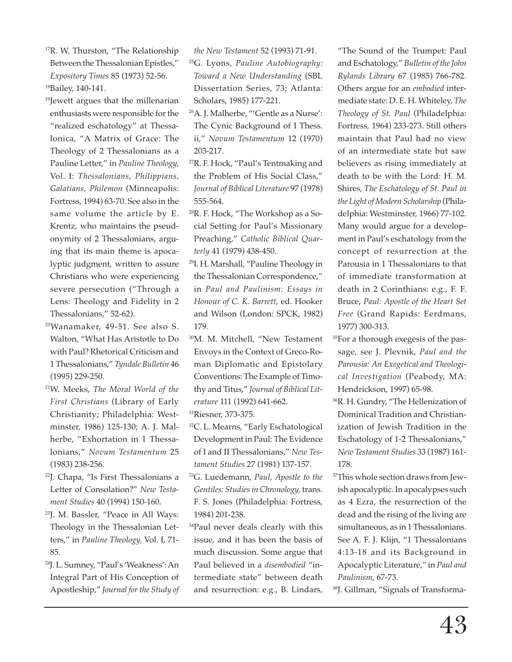- <sup>17</sup>R. W. Thurston, "The Relationship Between the Thessalonian Epistles," *Expository Times* 85 (1973) 52-56. 18Bailey, 140-141.
- <sup>19</sup>Jewett argues that the millenarian enthusiasts were responsible for the "realized eschatology" at Thessalonica, "A Matrix of Grace: The Theology of 2 Thessalonians as a Pauline Letter," in *Pauline Theology,* Vol. I: *Thessalonians, Philippians, Galatians, Philemon* (Minneapolis: Fortress, 1994) 63-70. See also in the same volume the article by E. Krentz, who maintains the pseudonymity of 2 Thessalonians, arguing that its main theme is apocalyptic judgment, written to assure Christians who were experiencing severe persecution ("Through a Lens: Theology and Fidelity in 2 Thessalonians," 52-62).
- 20Wanamaker, 49-51. See also S. Walton, "What Has Aristotle to Do with Paul? Rhetorical Criticism and 1 Thessalonians," *Tyndale Bulletin* 46 (1995) 229-250.
- 21W. Meeks, *The Moral World of the First Christians* (Library of Early Christianity; Philadelphia: Westminster, 1986) 125-130; A. J. Malherbe, "Exhortation in 1 Thessalonians," *Novum Testamentum* 25 (1983) 238-256.
- 22J. Chapa, "Is First Thessalonians a Letter of Consolation?" *New Testament Studies* 40 (1994) 150-160.
- 23J. M. Bassler, "Peace in All Ways: Theology in the Thessalonian Letters," in *Pauline Theology,* Vol. I, 71- 85.
- 24J. L. Sumney, "Paul's 'Weakness': An Integral Part of His Conception of Apostleship," *Journal for the Study of*

*the New Testament* 52 (1993) 71-91.

- 25G. Lyons, *Pauline Autobiography: Toward a New Understanding* (SBL Dissertation Series, 73; Atlanta: Scholars, 1985) 177-221.
- 26A. J. Malherbe, "'Gentle as a Nurse': The Cynic Background of I Thess. ii," *Novum Testamentum* 12 (1970) 203-217.
- 27R. F. Hock, "Paul's Tentmaking and the Problem of His Social Class," *Journal of Biblical Literature* 97 (1978) 555-564.
- 28R. F. Hock, "The Workshop as a Social Setting for Paul's Missionary Preaching," *Catholic Biblical Quarterly* 41 (1979) 438-450.
- 29I. H. Marshall, "Pauline Theology in the Thessalonian Correspondence," in *Paul and Paulinism: Essays in Honour of C. K. Barrett,* ed. Hooker and Wilson (London: SPCK, 1982) 179.
- 30M. M. Mitchell, "New Testament Envoys in the Context of Greco-Roman Diplomatic and Epistolary Conventions: The Example of Timothy and Titus," *Journal of Biblical Literature* 111 (1992) 641-662. 31Riesner, 373-375.
- 32C. L. Mearns, "Early Eschatological Development in Paul: The Evidence of I and II Thessalonians," *New Testament Studies* 27 (1981) 137-157.
- 33G. Luedemann, *Paul, Apostle to the Gentiles: Studies in Chronology,* trans. F. S. Jones (Philadelphia: Fortress, 1984) 201-238.
- <sup>34</sup>Paul never deals clearly with this issue, and it has been the basis of much discussion. Some argue that Paul believed in a *disembodied* "intermediate state" between death and resurrection: e.g., B. Lindars,

"The Sound of the Trumpet: Paul and Eschatology," *Bulletin of the John Rylands Library* 67 (1985) 766-782. Others argue for an *embodied* intermediate state: D. E. H. Whiteley, *The Theology of St. Paul* (Philadelphia: Fortress, 1964) 233-273. Still others maintain that Paul had no view of an intermediate state but saw believers as rising immediately at death to be with the Lord: H. M. Shires, *The Eschatology of St. Paul in the Light of Modern Scholarship* (Philadelphia: Westminster, 1966) 77-102. Many would argue for a development in Paul's eschatology from the concept of resurrection at the Parousia in 1 Thessalonians to that of immediate transformation at death in 2 Corinthians: e.g., F. F. Bruce, *Paul: Apostle of the Heart Set Free* (Grand Rapids: Eerdmans, 1977) 300-313.

- <sup>35</sup>For a thorough exegesis of the passage, see J. Plevnik, *Paul and the Parousia: An Exegetical and Theological Investigation* (Peabody, MA: Hendrickson, 1997) 65-98.
- 36R. H. Gundry, "The Hellenization of Dominical Tradition and Christianization of Jewish Tradition in the Eschatology of 1-2 Thessalonians," *New Testament Studies* 33 (1987) 161- 178.
- 37This whole section draws from Jewish apocalyptic. In apocalypses such as 4 Ezra, the resurrection of the dead and the rising of the living are simultaneous, as in 1 Thessalonians. See A. F. J. Klijn, "1 Thessalonians 4:13-18 and its Background in Apocalyptic Literature," in *Paul and Paulinism*, 67-73.
- 38J. Gillman, "Signals of Transforma-